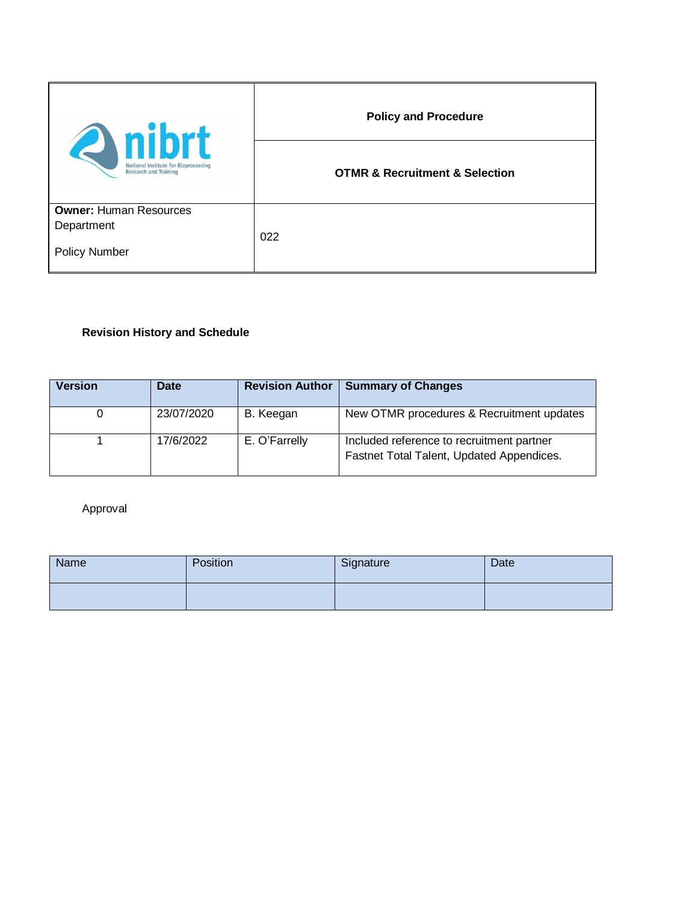|                                                                                        | <b>Policy and Procedure</b>                   |  |  |  |  |
|----------------------------------------------------------------------------------------|-----------------------------------------------|--|--|--|--|
| <b>2</b> nibrt<br>National Institute for Bioprocessing<br><b>Research and Training</b> | <b>OTMR &amp; Recruitment &amp; Selection</b> |  |  |  |  |
| <b>Owner: Human Resources</b>                                                          |                                               |  |  |  |  |
| Department                                                                             |                                               |  |  |  |  |
| <b>Policy Number</b>                                                                   | 022                                           |  |  |  |  |

## **Revision History and Schedule**

| Version | <b>Date</b> | <b>Revision Author</b> | <b>Summary of Changes</b>                                                              |
|---------|-------------|------------------------|----------------------------------------------------------------------------------------|
|         | 23/07/2020  | B. Keegan              | New OTMR procedures & Recruitment updates                                              |
|         | 17/6/2022   | E. O'Farrelly          | Included reference to recruitment partner<br>Fastnet Total Talent, Updated Appendices. |

## Approval

| Name | Position | Signature | Date |
|------|----------|-----------|------|
|      |          |           |      |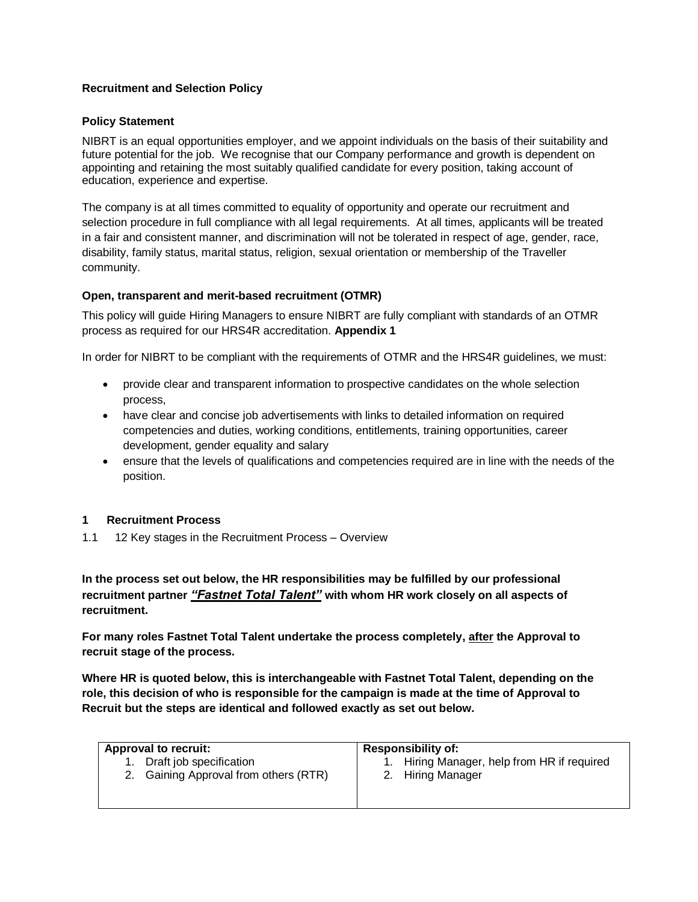## **Recruitment and Selection Policy**

### **Policy Statement**

NIBRT is an equal opportunities employer, and we appoint individuals on the basis of their suitability and future potential for the job. We recognise that our Company performance and growth is dependent on appointing and retaining the most suitably qualified candidate for every position, taking account of education, experience and expertise.

The company is at all times committed to equality of opportunity and operate our recruitment and selection procedure in full compliance with all legal requirements. At all times, applicants will be treated in a fair and consistent manner, and discrimination will not be tolerated in respect of age, gender, race, disability, family status, marital status, religion, sexual orientation or membership of the Traveller community.

### **Open, transparent and merit-based recruitment (OTMR)**

This policy will guide Hiring Managers to ensure NIBRT are fully compliant with standards of an OTMR process as required for our HRS4R accreditation. **Appendix 1**

In order for NIBRT to be compliant with the requirements of OTMR and the HRS4R guidelines, we must:

- provide clear and transparent information to prospective candidates on the whole selection process,
- have clear and concise job advertisements with links to detailed information on required competencies and duties, working conditions, entitlements, training opportunities, career development, gender equality and salary
- ensure that the levels of qualifications and competencies required are in line with the needs of the position.

#### **1 Recruitment Process**

1.1 12 Key stages in the Recruitment Process – Overview

**In the process set out below, the HR responsibilities may be fulfilled by our professional recruitment partner** *"Fastnet Total Talent"* **with whom HR work closely on all aspects of recruitment.**

**For many roles Fastnet Total Talent undertake the process completely, after the Approval to recruit stage of the process.**

**Where HR is quoted below, this is interchangeable with Fastnet Total Talent, depending on the role, this decision of who is responsible for the campaign is made at the time of Approval to Recruit but the steps are identical and followed exactly as set out below.** 

| <b>Approval to recruit:</b>           | <b>Responsibility of:</b>                   |  |  |  |  |
|---------------------------------------|---------------------------------------------|--|--|--|--|
| 1. Draft job specification            | 1. Hiring Manager, help from HR if required |  |  |  |  |
| 2. Gaining Approval from others (RTR) | 2. Hiring Manager                           |  |  |  |  |
|                                       |                                             |  |  |  |  |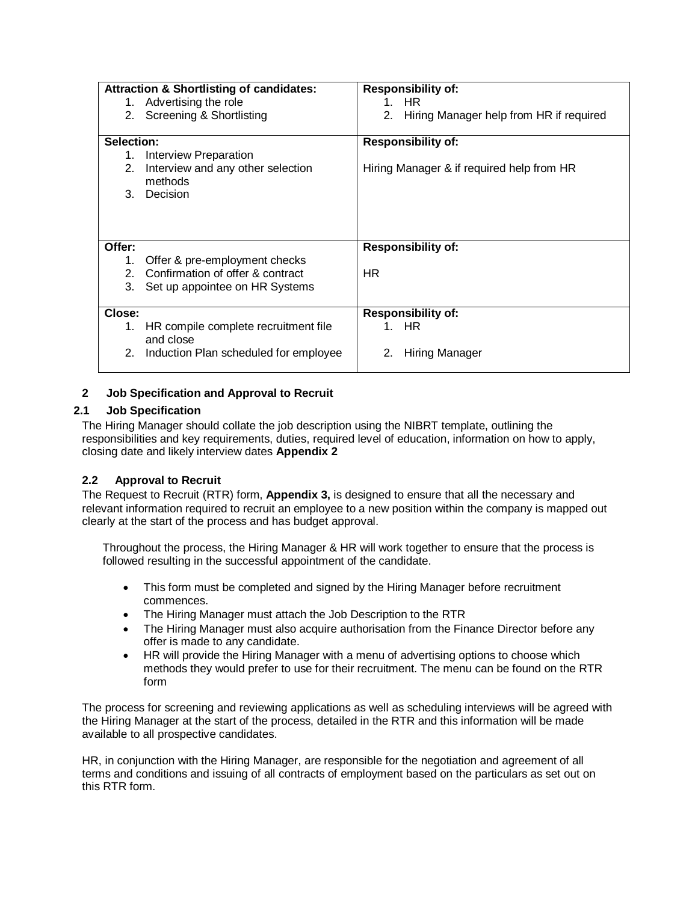|                | <b>Attraction &amp; Shortlisting of candidates:</b> | <b>Responsibility of:</b>                     |
|----------------|-----------------------------------------------------|-----------------------------------------------|
| 1.             | Advertising the role                                | 1. HR                                         |
| 2.             | Screening & Shortlisting                            | Hiring Manager help from HR if required<br>2. |
| Selection:     |                                                     | <b>Responsibility of:</b>                     |
| 1.             | Interview Preparation                               |                                               |
| 2.             | Interview and any other selection<br>methods        | Hiring Manager & if required help from HR     |
| 3.             | Decision                                            |                                               |
|                |                                                     |                                               |
| Offer:         |                                                     | <b>Responsibility of:</b>                     |
| 1.             | Offer & pre-employment checks                       |                                               |
| 2 <sub>1</sub> | Confirmation of offer & contract                    | <b>HR</b>                                     |
| 3.             | Set up appointee on HR Systems                      |                                               |
| Close:         |                                                     | <b>Responsibility of:</b>                     |
| 1.             | HR compile complete recruitment file                | <b>HR</b>                                     |
|                | and close                                           |                                               |
| 2.             | Induction Plan scheduled for employee               | <b>Hiring Manager</b><br>2.                   |

## **2 Job Specification and Approval to Recruit**

## **2.1 Job Specification**

The Hiring Manager should collate the job description using the NIBRT template, outlining the responsibilities and key requirements, duties, required level of education, information on how to apply, closing date and likely interview dates **Appendix 2**

## **2.2 Approval to Recruit**

The Request to Recruit (RTR) form, **Appendix 3,** is designed to ensure that all the necessary and relevant information required to recruit an employee to a new position within the company is mapped out clearly at the start of the process and has budget approval.

Throughout the process, the Hiring Manager & HR will work together to ensure that the process is followed resulting in the successful appointment of the candidate.

- This form must be completed and signed by the Hiring Manager before recruitment commences.
- The Hiring Manager must attach the Job Description to the RTR
- The Hiring Manager must also acquire authorisation from the Finance Director before any offer is made to any candidate.
- HR will provide the Hiring Manager with a menu of advertising options to choose which methods they would prefer to use for their recruitment. The menu can be found on the RTR form

The process for screening and reviewing applications as well as scheduling interviews will be agreed with the Hiring Manager at the start of the process, detailed in the RTR and this information will be made available to all prospective candidates.

HR, in conjunction with the Hiring Manager, are responsible for the negotiation and agreement of all terms and conditions and issuing of all contracts of employment based on the particulars as set out on this RTR form.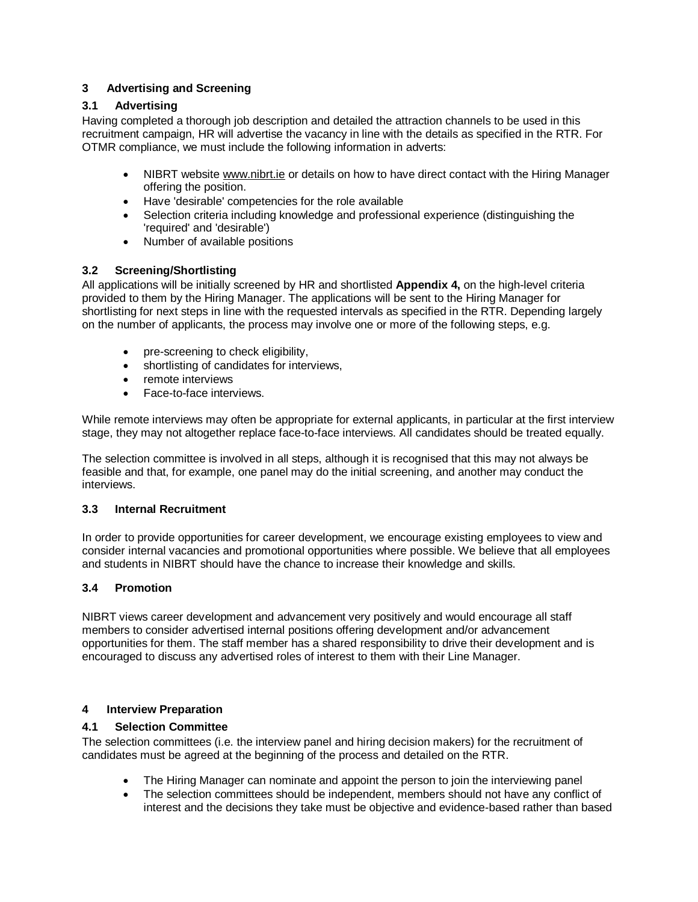## **3 Advertising and Screening**

## **3.1 Advertising**

Having completed a thorough job description and detailed the attraction channels to be used in this recruitment campaign, HR will advertise the vacancy in line with the details as specified in the RTR. For OTMR compliance, we must include the following information in adverts:

- NIBRT website [www.nibrt.ie](http://www.nibrt.ie/) or details on how to have direct contact with the Hiring Manager offering the position.
- Have 'desirable' competencies for the role available
- Selection criteria including knowledge and professional experience (distinguishing the 'required' and 'desirable')
- Number of available positions

## **3.2 Screening/Shortlisting**

All applications will be initially screened by HR and shortlisted **Appendix 4,** on the high-level criteria provided to them by the Hiring Manager. The applications will be sent to the Hiring Manager for shortlisting for next steps in line with the requested intervals as specified in the RTR. Depending largely on the number of applicants, the process may involve one or more of the following steps, e.g.

- pre-screening to check eligibility,
- shortlisting of candidates for interviews,
- remote interviews
- Face-to-face interviews.

While remote interviews may often be appropriate for external applicants, in particular at the first interview stage, they may not altogether replace face-to-face interviews. All candidates should be treated equally.

The selection committee is involved in all steps, although it is recognised that this may not always be feasible and that, for example, one panel may do the initial screening, and another may conduct the interviews.

## **3.3 Internal Recruitment**

In order to provide opportunities for career development, we encourage existing employees to view and consider internal vacancies and promotional opportunities where possible. We believe that all employees and students in NIBRT should have the chance to increase their knowledge and skills.

## **3.4 Promotion**

NIBRT views career development and advancement very positively and would encourage all staff members to consider advertised internal positions offering development and/or advancement opportunities for them. The staff member has a shared responsibility to drive their development and is encouraged to discuss any advertised roles of interest to them with their Line Manager.

## **4 Interview Preparation**

## **4.1 Selection Committee**

The selection committees (i.e. the interview panel and hiring decision makers) for the recruitment of candidates must be agreed at the beginning of the process and detailed on the RTR.

- The Hiring Manager can nominate and appoint the person to join the interviewing panel
- The selection committees should be independent, members should not have any conflict of interest and the decisions they take must be objective and evidence-based rather than based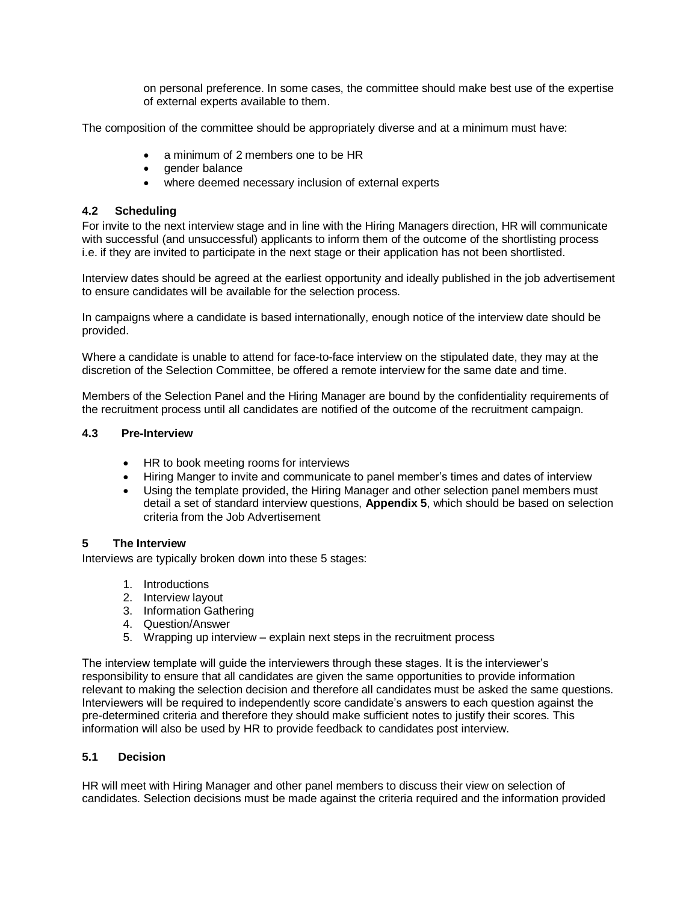on personal preference. In some cases, the committee should make best use of the expertise of external experts available to them.

The composition of the committee should be appropriately diverse and at a minimum must have:

- a minimum of 2 members one to be HR
- gender balance
- where deemed necessary inclusion of external experts

### **4.2 Scheduling**

For invite to the next interview stage and in line with the Hiring Managers direction, HR will communicate with successful (and unsuccessful) applicants to inform them of the outcome of the shortlisting process i.e. if they are invited to participate in the next stage or their application has not been shortlisted.

Interview dates should be agreed at the earliest opportunity and ideally published in the job advertisement to ensure candidates will be available for the selection process.

In campaigns where a candidate is based internationally, enough notice of the interview date should be provided.

Where a candidate is unable to attend for face-to-face interview on the stipulated date, they may at the discretion of the Selection Committee, be offered a remote interview for the same date and time.

Members of the Selection Panel and the Hiring Manager are bound by the confidentiality requirements of the recruitment process until all candidates are notified of the outcome of the recruitment campaign.

### **4.3 Pre-Interview**

- HR to book meeting rooms for interviews
- Hiring Manger to invite and communicate to panel member's times and dates of interview
- Using the template provided, the Hiring Manager and other selection panel members must detail a set of standard interview questions, **Appendix 5**, which should be based on selection criteria from the Job Advertisement

#### **5 The Interview**

Interviews are typically broken down into these 5 stages:

- 1. Introductions
- 2. Interview layout
- 3. Information Gathering
- 4. Question/Answer
- 5. Wrapping up interview explain next steps in the recruitment process

The interview template will guide the interviewers through these stages. It is the interviewer's responsibility to ensure that all candidates are given the same opportunities to provide information relevant to making the selection decision and therefore all candidates must be asked the same questions. Interviewers will be required to independently score candidate's answers to each question against the pre-determined criteria and therefore they should make sufficient notes to justify their scores. This information will also be used by HR to provide feedback to candidates post interview.

### **5.1 Decision**

HR will meet with Hiring Manager and other panel members to discuss their view on selection of candidates. Selection decisions must be made against the criteria required and the information provided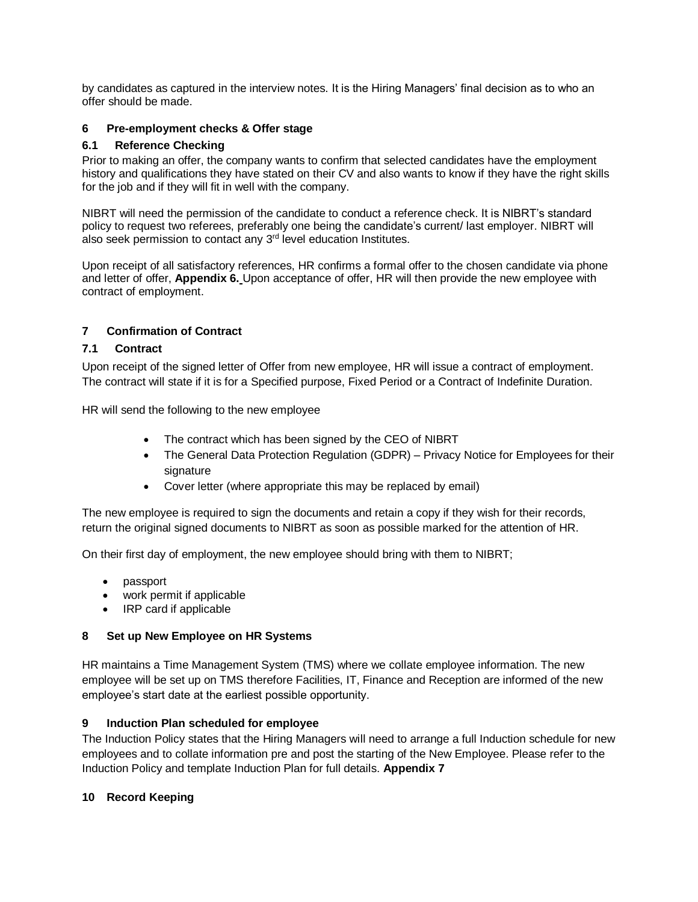by candidates as captured in the interview notes. It is the Hiring Managers' final decision as to who an offer should be made.

## **6 Pre-employment checks & Offer stage**

### **6.1 Reference Checking**

Prior to making an offer, the company wants to confirm that selected candidates have the employment history and qualifications they have stated on their CV and also wants to know if they have the [right skills](https://www.thebalancecareers.com/what-is-a-skill-set-2062103)  [for the job](https://www.thebalancecareers.com/what-is-a-skill-set-2062103) and if they will fit in well with the company.

NIBRT will need the permission of the candidate to conduct a reference check. It is NIBRT's standard policy to request two referees, preferably one being the candidate's current/ last employer. NIBRT will also seek permission to contact any 3<sup>rd</sup> level education Institutes.

Upon receipt of all satisfactory references, HR confirms a formal offer to the chosen candidate via phone and letter of offer, **Appendix 6.** Upon acceptance of offer, HR will then provide the new employee with contract of employment.

## **7 Confirmation of Contract**

### **7.1 Contract**

Upon receipt of the signed letter of Offer from new employee, HR will issue a contract of employment. The contract will state if it is for a Specified purpose, Fixed Period or a Contract of Indefinite Duration.

HR will send the following to the new employee

- The contract which has been signed by the CEO of NIBRT
- The General Data Protection Regulation (GDPR) Privacy Notice for Employees for their signature
- Cover letter (where appropriate this may be replaced by email)

The new employee is required to sign the documents and retain a copy if they wish for their records, return the original signed documents to NIBRT as soon as possible marked for the attention of HR.

On their first day of employment, the new employee should bring with them to NIBRT;

- passport
- work permit if applicable
- IRP card if applicable

#### **8 Set up New Employee on HR Systems**

HR maintains a Time Management System (TMS) where we collate employee information. The new employee will be set up on TMS therefore Facilities, IT, Finance and Reception are informed of the new employee's start date at the earliest possible opportunity.

#### **9 Induction Plan scheduled for employee**

The Induction Policy states that the Hiring Managers will need to arrange a full Induction schedule for new employees and to collate information pre and post the starting of the New Employee. Please refer to the Induction Policy and template Induction Plan for full details. **Appendix 7**

#### **10 Record Keeping**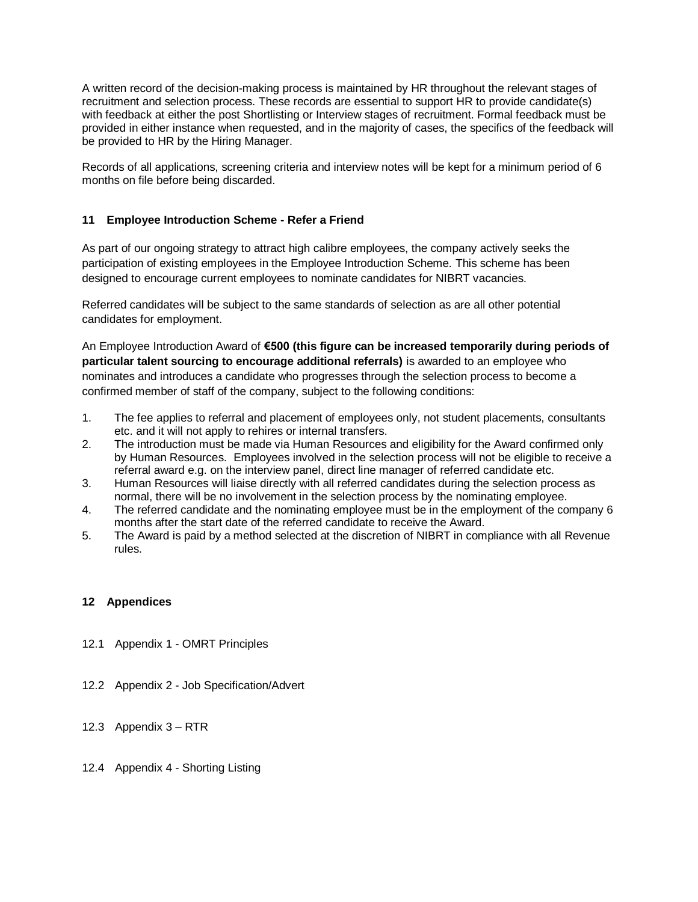A written record of the decision-making process is maintained by HR throughout the relevant stages of recruitment and selection process. These records are essential to support HR to provide candidate(s) with feedback at either the post Shortlisting or Interview stages of recruitment. Formal feedback must be provided in either instance when requested, and in the majority of cases, the specifics of the feedback will be provided to HR by the Hiring Manager.

Records of all applications, screening criteria and interview notes will be kept for a minimum period of 6 months on file before being discarded.

## **11 Employee Introduction Scheme - Refer a Friend**

As part of our ongoing strategy to attract high calibre employees, the company actively seeks the participation of existing employees in the Employee Introduction Scheme. This scheme has been designed to encourage current employees to nominate candidates for NIBRT vacancies.

Referred candidates will be subject to the same standards of selection as are all other potential candidates for employment.

An Employee Introduction Award of **€500 (this figure can be increased temporarily during periods of particular talent sourcing to encourage additional referrals)** is awarded to an employee who nominates and introduces a candidate who progresses through the selection process to become a confirmed member of staff of the company, subject to the following conditions:

- 1. The fee applies to referral and placement of employees only, not student placements, consultants etc. and it will not apply to rehires or internal transfers.
- 2. The introduction must be made via Human Resources and eligibility for the Award confirmed only by Human Resources. Employees involved in the selection process will not be eligible to receive a referral award e.g. on the interview panel, direct line manager of referred candidate etc.
- 3. Human Resources will liaise directly with all referred candidates during the selection process as normal, there will be no involvement in the selection process by the nominating employee.
- 4. The referred candidate and the nominating employee must be in the employment of the company 6 months after the start date of the referred candidate to receive the Award.
- 5. The Award is paid by a method selected at the discretion of NIBRT in compliance with all Revenue rules.

## **12 Appendices**

- 12.1 Appendix 1 OMRT Principles
- 12.2 Appendix 2 Job Specification/Advert
- 12.3 Appendix 3 RTR
- 12.4 Appendix 4 Shorting Listing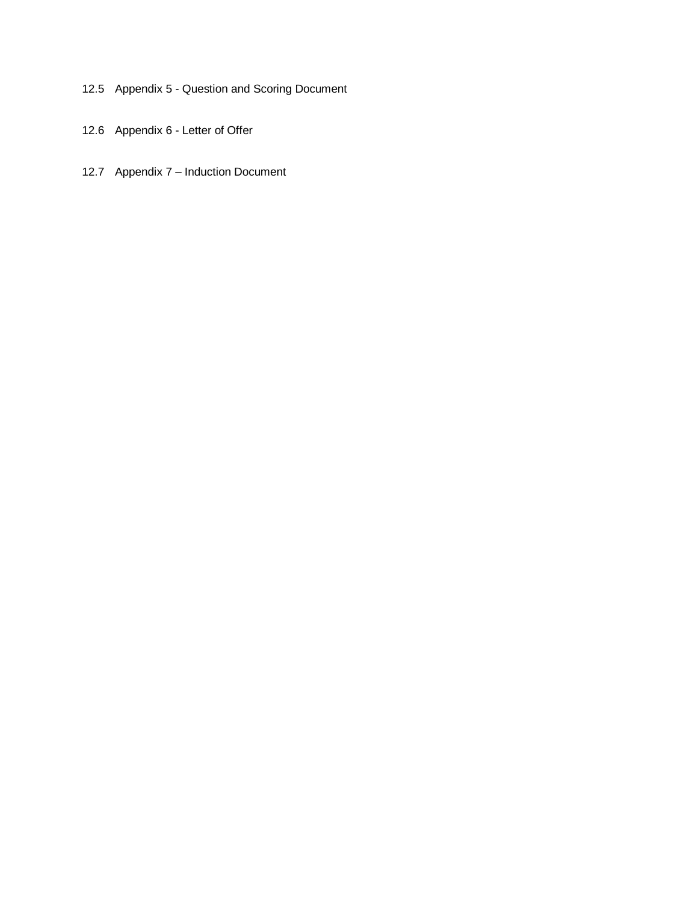- 12.5 Appendix 5 Question and Scoring Document
- 12.6 Appendix 6 Letter of Offer
- 12.7 Appendix 7 Induction Document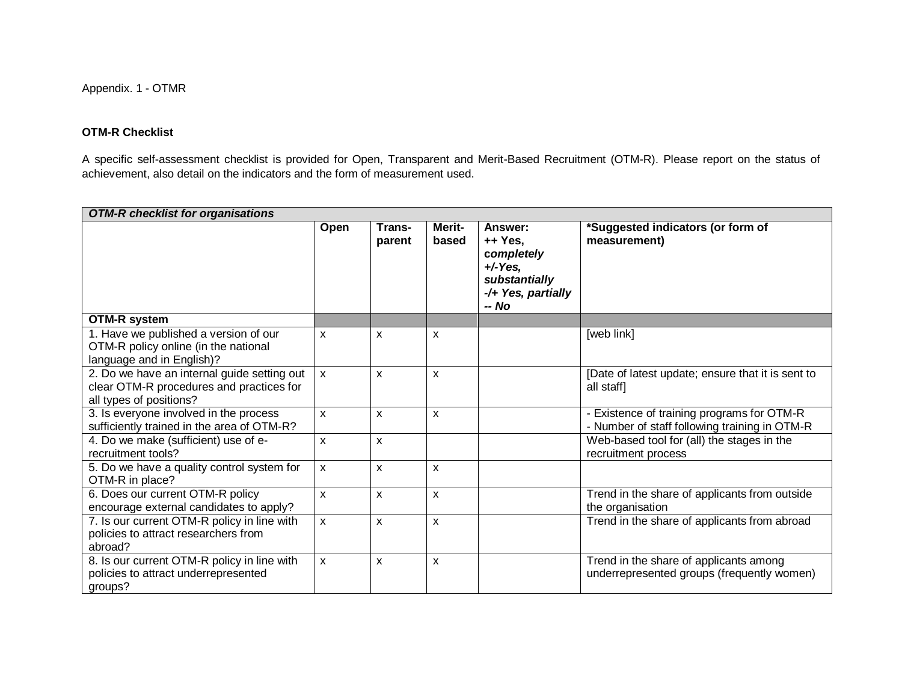## **OTM-R Checklist**

A specific self-assessment checklist is provided for Open, Transparent and Merit-Based Recruitment (OTM-R). Please report on the status of achievement, also detail on the indicators and the form of measurement used.

| <b>OTM-R checklist for organisations</b>                                                                           |              |                           |                        |                                                                                                           |                                                                                             |  |
|--------------------------------------------------------------------------------------------------------------------|--------------|---------------------------|------------------------|-----------------------------------------------------------------------------------------------------------|---------------------------------------------------------------------------------------------|--|
|                                                                                                                    | Open         | Trans-<br>parent          | <b>Merit-</b><br>based | <b>Answer:</b><br>++ Yes.<br>completely<br>$+\angle$ Yes,<br>substantially<br>-/+ Yes, partially<br>-- No | *Suggested indicators (or form of<br>measurement)                                           |  |
| <b>OTM-R system</b>                                                                                                |              |                           |                        |                                                                                                           |                                                                                             |  |
| 1. Have we published a version of our<br>OTM-R policy online (in the national<br>language and in English)?         | X            | $\boldsymbol{\mathsf{x}}$ | X                      |                                                                                                           | [web link]                                                                                  |  |
| 2. Do we have an internal guide setting out<br>clear OTM-R procedures and practices for<br>all types of positions? | X.           | $\boldsymbol{\mathsf{x}}$ | X                      |                                                                                                           | [Date of latest update; ensure that it is sent to<br>all staff]                             |  |
| 3. Is everyone involved in the process<br>sufficiently trained in the area of OTM-R?                               | $\mathsf{x}$ | $\mathsf{x}$              | X                      |                                                                                                           | - Existence of training programs for OTM-R<br>- Number of staff following training in OTM-R |  |
| 4. Do we make (sufficient) use of e-<br>recruitment tools?                                                         | X            | $\boldsymbol{\mathsf{x}}$ |                        |                                                                                                           | Web-based tool for (all) the stages in the<br>recruitment process                           |  |
| 5. Do we have a quality control system for<br>OTM-R in place?                                                      | X            | $\boldsymbol{\mathsf{x}}$ | X                      |                                                                                                           |                                                                                             |  |
| 6. Does our current OTM-R policy<br>encourage external candidates to apply?                                        | X            | $\boldsymbol{\mathsf{x}}$ | X                      |                                                                                                           | Trend in the share of applicants from outside<br>the organisation                           |  |
| 7. Is our current OTM-R policy in line with<br>policies to attract researchers from<br>abroad?                     | X            | $\boldsymbol{\mathsf{x}}$ | x                      |                                                                                                           | Trend in the share of applicants from abroad                                                |  |
| 8. Is our current OTM-R policy in line with<br>policies to attract underrepresented<br>groups?                     | X            | $\boldsymbol{\mathsf{x}}$ | X                      |                                                                                                           | Trend in the share of applicants among<br>underrepresented groups (frequently women)        |  |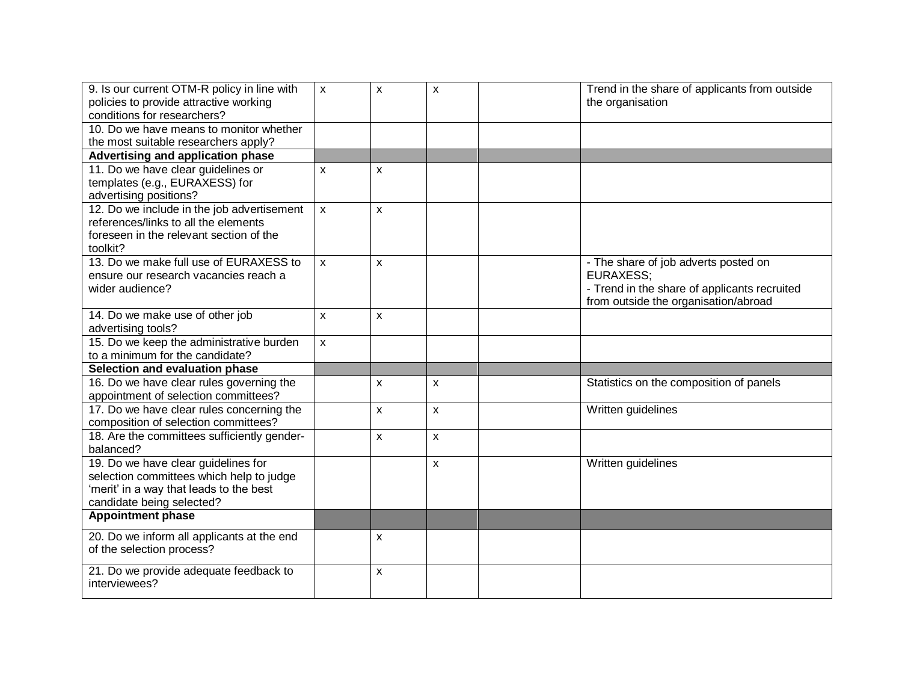| 9. Is our current OTM-R policy in line with<br>policies to provide attractive working<br>conditions for researchers?                                    | $\mathsf{x}$ | $\boldsymbol{\mathsf{x}}$ | $\mathsf{x}$ | Trend in the share of applicants from outside<br>the organisation                                                                                |
|---------------------------------------------------------------------------------------------------------------------------------------------------------|--------------|---------------------------|--------------|--------------------------------------------------------------------------------------------------------------------------------------------------|
| 10. Do we have means to monitor whether<br>the most suitable researchers apply?                                                                         |              |                           |              |                                                                                                                                                  |
| Advertising and application phase                                                                                                                       |              |                           |              |                                                                                                                                                  |
| 11. Do we have clear guidelines or<br>templates (e.g., EURAXESS) for<br>advertising positions?                                                          | X            | X                         |              |                                                                                                                                                  |
| 12. Do we include in the job advertisement<br>references/links to all the elements<br>foreseen in the relevant section of the<br>toolkit?               | X            | $\boldsymbol{\mathsf{x}}$ |              |                                                                                                                                                  |
| 13. Do we make full use of EURAXESS to<br>ensure our research vacancies reach a<br>wider audience?                                                      | $\mathsf{x}$ | $\boldsymbol{\mathsf{x}}$ |              | - The share of job adverts posted on<br><b>EURAXESS:</b><br>- Trend in the share of applicants recruited<br>from outside the organisation/abroad |
| 14. Do we make use of other job<br>advertising tools?                                                                                                   | X            | $\pmb{\mathsf{x}}$        |              |                                                                                                                                                  |
| 15. Do we keep the administrative burden<br>to a minimum for the candidate?                                                                             | X            |                           |              |                                                                                                                                                  |
| Selection and evaluation phase                                                                                                                          |              |                           |              |                                                                                                                                                  |
| 16. Do we have clear rules governing the<br>appointment of selection committees?                                                                        |              | X                         | $\mathsf{x}$ | Statistics on the composition of panels                                                                                                          |
| 17. Do we have clear rules concerning the<br>composition of selection committees?                                                                       |              | $\mathsf{x}$              | X            | Written guidelines                                                                                                                               |
| 18. Are the committees sufficiently gender-<br>balanced?                                                                                                |              | $\mathsf{x}$              | $\mathsf{x}$ |                                                                                                                                                  |
| 19. Do we have clear guidelines for<br>selection committees which help to judge<br>'merit' in a way that leads to the best<br>candidate being selected? |              |                           | $\mathsf{x}$ | Written guidelines                                                                                                                               |
| <b>Appointment phase</b>                                                                                                                                |              |                           |              |                                                                                                                                                  |
| 20. Do we inform all applicants at the end<br>of the selection process?                                                                                 |              | X                         |              |                                                                                                                                                  |
| 21. Do we provide adequate feedback to<br>interviewees?                                                                                                 |              | X                         |              |                                                                                                                                                  |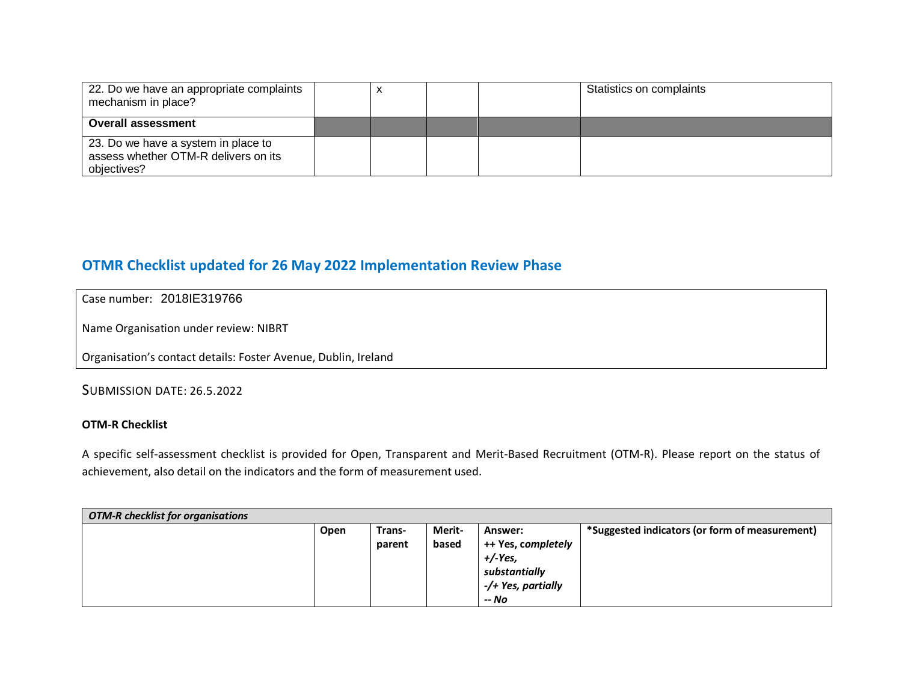| 22. Do we have an appropriate complaints<br>mechanism in place?                            |  |  | Statistics on complaints |
|--------------------------------------------------------------------------------------------|--|--|--------------------------|
| <b>Overall assessment</b>                                                                  |  |  |                          |
| 23. Do we have a system in place to<br>assess whether OTM-R delivers on its<br>objectives? |  |  |                          |

## **OTMR Checklist updated for 26 May 2022 Implementation Review Phase**

## Case number: 2018IE319766

Name Organisation under review: NIBRT

Organisation's contact details: Foster Avenue, Dublin, Ireland

SUBMISSION DATE: 26.5.2022

## **OTM-R Checklist**

A specific self-assessment checklist is provided for Open, Transparent and Merit-Based Recruitment (OTM-R). Please report on the status of achievement, also detail on the indicators and the form of measurement used.

| <b>OTM-R checklist for organisations</b> |      |                  |                 |                                                                                            |                                                |  |  |
|------------------------------------------|------|------------------|-----------------|--------------------------------------------------------------------------------------------|------------------------------------------------|--|--|
|                                          | Open | Trans-<br>parent | Merit-<br>based | Answer:<br>++ Yes, completely<br>$+/-Yes,$<br>substantially<br>-/+ Yes, partially<br>-- No | *Suggested indicators (or form of measurement) |  |  |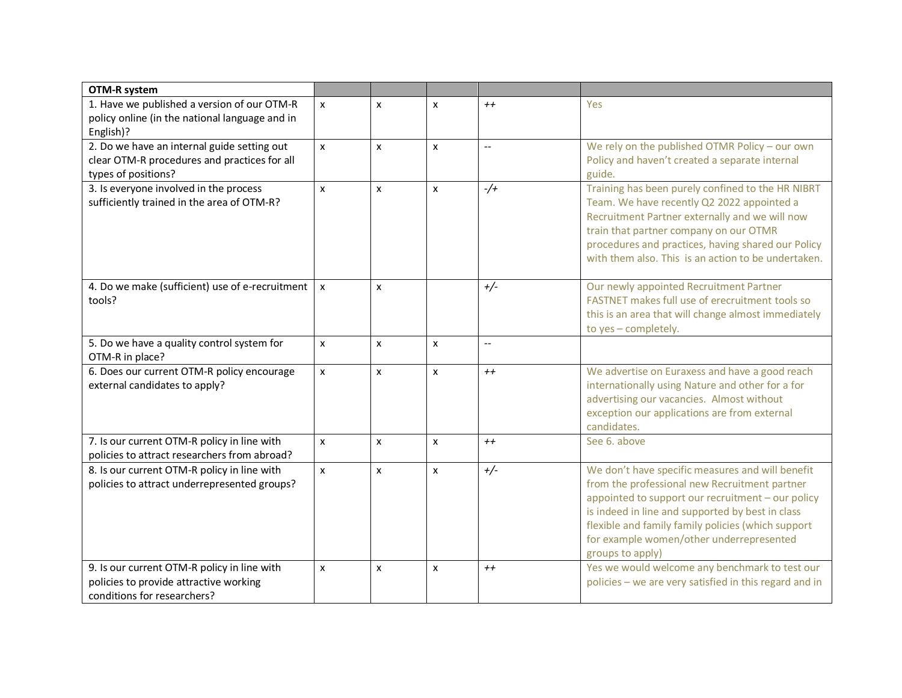| OTM-R system                                                                                                         |                    |              |              |                          |                                                                                                                                                                                                                                                                                                                                  |
|----------------------------------------------------------------------------------------------------------------------|--------------------|--------------|--------------|--------------------------|----------------------------------------------------------------------------------------------------------------------------------------------------------------------------------------------------------------------------------------------------------------------------------------------------------------------------------|
| 1. Have we published a version of our OTM-R<br>policy online (in the national language and in<br>English)?           | X                  | X            | X            | $++$                     | Yes                                                                                                                                                                                                                                                                                                                              |
| 2. Do we have an internal guide setting out<br>clear OTM-R procedures and practices for all<br>types of positions?   | X                  | X            | X            | $\overline{\phantom{a}}$ | We rely on the published OTMR Policy - our own<br>Policy and haven't created a separate internal<br>guide.                                                                                                                                                                                                                       |
| 3. Is everyone involved in the process<br>sufficiently trained in the area of OTM-R?                                 | X                  | $\mathsf{x}$ | X            | $-$ /+                   | Training has been purely confined to the HR NIBRT<br>Team. We have recently Q2 2022 appointed a<br>Recruitment Partner externally and we will now<br>train that partner company on our OTMR<br>procedures and practices, having shared our Policy<br>with them also. This is an action to be undertaken.                         |
| 4. Do we make (sufficient) use of e-recruitment<br>tools?                                                            | X                  | X            |              | $+/-$                    | Our newly appointed Recruitment Partner<br>FASTNET makes full use of erecruitment tools so<br>this is an area that will change almost immediately<br>to yes - completely.                                                                                                                                                        |
| 5. Do we have a quality control system for<br>OTM-R in place?                                                        | X                  | $\mathsf{x}$ | X            | $\overline{a}$           |                                                                                                                                                                                                                                                                                                                                  |
| 6. Does our current OTM-R policy encourage<br>external candidates to apply?                                          | $\pmb{\mathsf{x}}$ | X            | X            | $++$                     | We advertise on Euraxess and have a good reach<br>internationally using Nature and other for a for<br>advertising our vacancies. Almost without<br>exception our applications are from external<br>candidates.                                                                                                                   |
| 7. Is our current OTM-R policy in line with<br>policies to attract researchers from abroad?                          | $\mathsf{x}$       | $\mathsf{x}$ | $\mathsf{x}$ | $++$                     | See 6, above                                                                                                                                                                                                                                                                                                                     |
| 8. Is our current OTM-R policy in line with<br>policies to attract underrepresented groups?                          | $\pmb{\mathsf{x}}$ | X            | $\mathsf{x}$ | $+/-$                    | We don't have specific measures and will benefit<br>from the professional new Recruitment partner<br>appointed to support our recruitment - our policy<br>is indeed in line and supported by best in class<br>flexible and family family policies (which support<br>for example women/other underrepresented<br>groups to apply) |
| 9. Is our current OTM-R policy in line with<br>policies to provide attractive working<br>conditions for researchers? | $\mathsf{x}$       | $\mathsf{x}$ | $\mathsf{x}$ | $++$                     | Yes we would welcome any benchmark to test our<br>policies - we are very satisfied in this regard and in                                                                                                                                                                                                                         |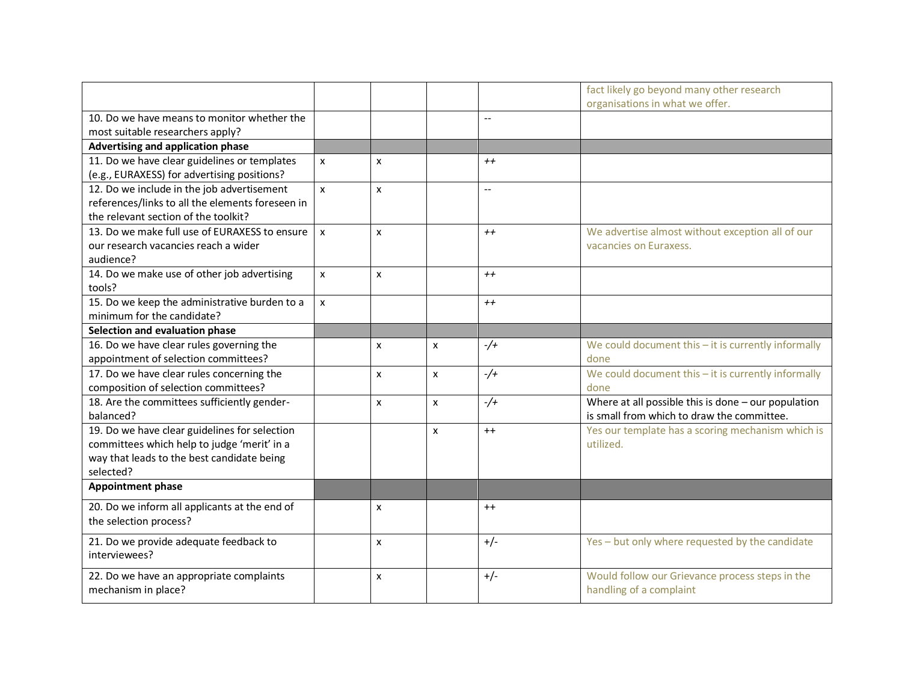|                                                  |                    |                           |                |        | fact likely go beyond many other research             |
|--------------------------------------------------|--------------------|---------------------------|----------------|--------|-------------------------------------------------------|
| 10. Do we have means to monitor whether the      |                    |                           |                | $-$    | organisations in what we offer.                       |
| most suitable researchers apply?                 |                    |                           |                |        |                                                       |
|                                                  |                    |                           |                |        |                                                       |
| Advertising and application phase                |                    |                           |                |        |                                                       |
| 11. Do we have clear guidelines or templates     | $\pmb{\mathsf{x}}$ | x                         |                | $++$   |                                                       |
| (e.g., EURAXESS) for advertising positions?      |                    |                           |                |        |                                                       |
| 12. Do we include in the job advertisement       | X                  | x                         |                | $-$    |                                                       |
| references/links to all the elements foreseen in |                    |                           |                |        |                                                       |
| the relevant section of the toolkit?             |                    |                           |                |        |                                                       |
| 13. Do we make full use of EURAXESS to ensure    | X                  | X                         |                | $++$   | We advertise almost without exception all of our      |
| our research vacancies reach a wider             |                    |                           |                |        | vacancies on Euraxess.                                |
| audience?                                        |                    |                           |                |        |                                                       |
| 14. Do we make use of other job advertising      | X                  | x                         |                | $++$   |                                                       |
| tools?                                           |                    |                           |                |        |                                                       |
| 15. Do we keep the administrative burden to a    | X                  |                           |                | $++$   |                                                       |
| minimum for the candidate?                       |                    |                           |                |        |                                                       |
| Selection and evaluation phase                   |                    |                           |                |        |                                                       |
| 16. Do we have clear rules governing the         |                    | x                         | $\pmb{\times}$ | $-$ /+ | We could document this $-$ it is currently informally |
| appointment of selection committees?             |                    |                           |                |        | done                                                  |
| 17. Do we have clear rules concerning the        |                    | x                         | $\mathsf{x}$   | $-$ /+ | We could document this $-$ it is currently informally |
| composition of selection committees?             |                    |                           |                |        | done                                                  |
| 18. Are the committees sufficiently gender-      |                    | $\boldsymbol{\mathsf{x}}$ | $\mathsf{x}$   | $-$ /+ | Where at all possible this is done $-$ our population |
| balanced?                                        |                    |                           |                |        | is small from which to draw the committee.            |
| 19. Do we have clear guidelines for selection    |                    |                           | $\mathsf{x}$   | $++$   | Yes our template has a scoring mechanism which is     |
| committees which help to judge 'merit' in a      |                    |                           |                |        | utilized.                                             |
| way that leads to the best candidate being       |                    |                           |                |        |                                                       |
| selected?                                        |                    |                           |                |        |                                                       |
| <b>Appointment phase</b>                         |                    |                           |                |        |                                                       |
| 20. Do we inform all applicants at the end of    |                    | x                         |                | $++$   |                                                       |
| the selection process?                           |                    |                           |                |        |                                                       |
| 21. Do we provide adequate feedback to           |                    | x                         |                | $+/-$  | Yes - but only where requested by the candidate       |
| interviewees?                                    |                    |                           |                |        |                                                       |
| 22. Do we have an appropriate complaints         |                    | x                         |                | $+/-$  | Would follow our Grievance process steps in the       |
| mechanism in place?                              |                    |                           |                |        | handling of a complaint                               |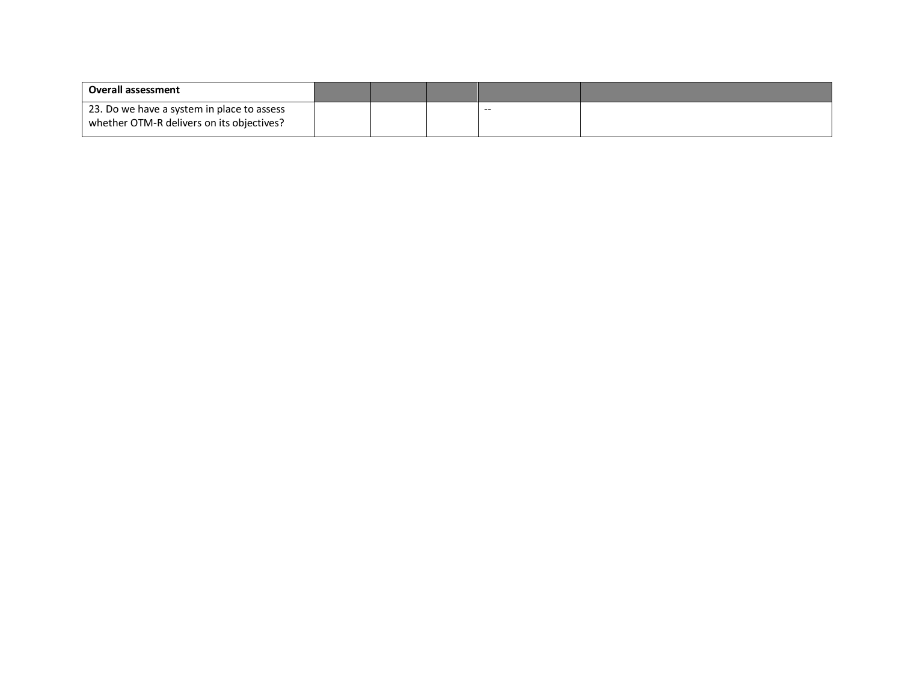| <b>Overall assessment</b>                   |  |       |  |
|---------------------------------------------|--|-------|--|
| 123. Do we have a system in place to assess |  | $- -$ |  |
| whether OTM-R delivers on its objectives?   |  |       |  |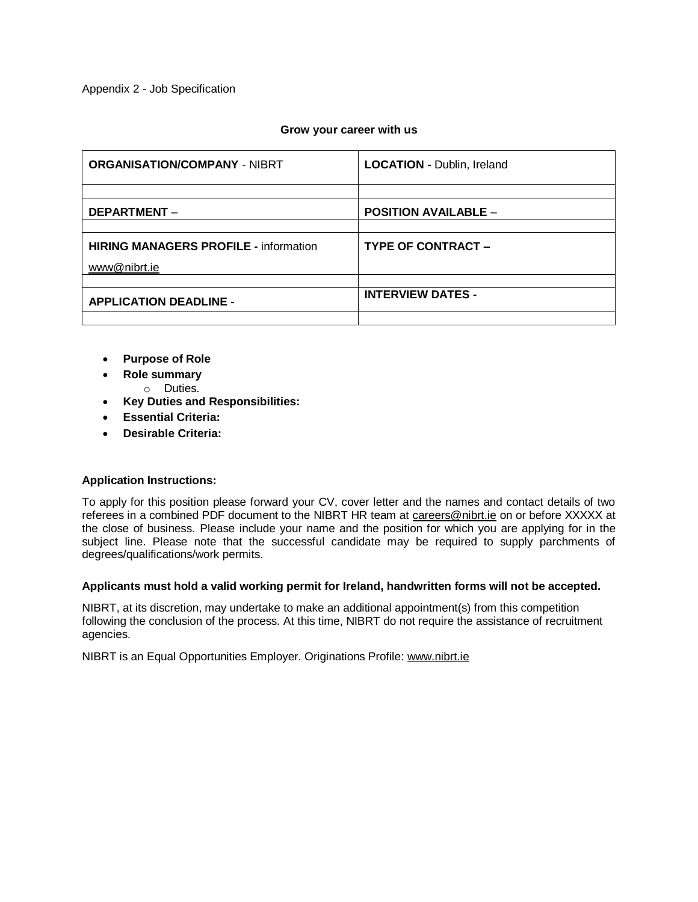Appendix 2 - Job Specification

#### **Grow your career with us**

| <b>ORGANISATION/COMPANY - NIBRT</b>          | <b>LOCATION - Dublin, Ireland</b> |
|----------------------------------------------|-----------------------------------|
|                                              |                                   |
| <b>DEPARTMENT -</b>                          | <b>POSITION AVAILABLE -</b>       |
|                                              |                                   |
| <b>HIRING MANAGERS PROFILE - information</b> | <b>TYPE OF CONTRACT -</b>         |
| www@nibrt.ie                                 |                                   |
|                                              |                                   |
| <b>APPLICATION DEADLINE -</b>                | <b>INTERVIEW DATES -</b>          |
|                                              |                                   |

- **Purpose of Role**
- **Role summary**
	- o Duties.
- **Key Duties and Responsibilities:**
- **Essential Criteria:**
- **Desirable Criteria:**

## **Application Instructions:**

To apply for this position please forward your CV, cover letter and the names and contact details of two referees in a combined PDF document to the NIBRT HR team at [careers@nibrt.ie](mailto:careers@nibrt.ie) on or before XXXXX at the close of business. Please include your name and the position for which you are applying for in the subject line. Please note that the successful candidate may be required to supply parchments of degrees/qualifications/work permits.

## **Applicants must hold a valid working permit for Ireland, handwritten forms will not be accepted.**

NIBRT, at its discretion, may undertake to make an additional appointment(s) from this competition following the conclusion of the process. At this time, NIBRT do not require the assistance of recruitment agencies.

NIBRT is an Equal Opportunities Employer. Originations Profile: [www.nibrt.ie](http://www.nibrt.ie/)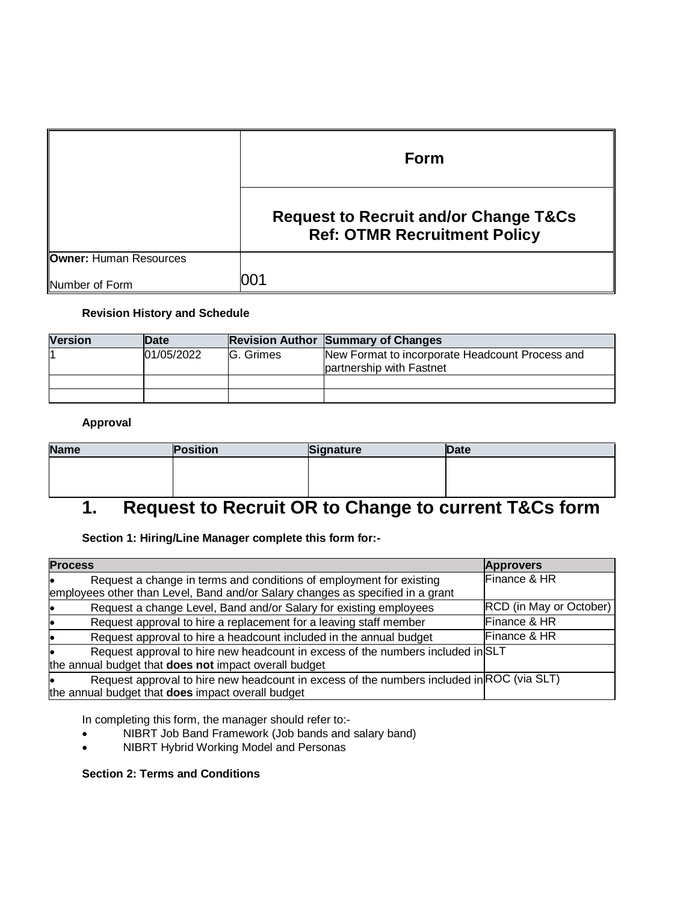|                               | Form                                                                                    |
|-------------------------------|-----------------------------------------------------------------------------------------|
|                               | <b>Request to Recruit and/or Change T&amp;Cs</b><br><b>Ref: OTMR Recruitment Policy</b> |
| <b>Owner:</b> Human Resources |                                                                                         |
| Number of Form                | 001                                                                                     |

## **Revision History and Schedule**

| <b>Version</b> | Date       |           | <b>Revision Author Summary of Changes</b>                                   |
|----------------|------------|-----------|-----------------------------------------------------------------------------|
|                | 01/05/2022 | G. Grimes | New Format to incorporate Headcount Process and<br>partnership with Fastnet |
|                |            |           |                                                                             |
|                |            |           |                                                                             |

**Approval**

| <b>Name</b> | Position | Signature | <b>Date</b> |
|-------------|----------|-----------|-------------|
|             |          |           |             |
|             |          |           |             |
|             |          |           |             |

# **1. Request to Recruit OR to Change to current T&Cs form**

## **Section 1: Hiring/Line Manager complete this form for:-**

| <b>Process</b> |                                                                                                                                                       | <b>Approvers</b>        |
|----------------|-------------------------------------------------------------------------------------------------------------------------------------------------------|-------------------------|
|                | Request a change in terms and conditions of employment for existing<br>employees other than Level, Band and/or Salary changes as specified in a grant | Finance & HR            |
|                | Request a change Level, Band and/or Salary for existing employees                                                                                     | RCD (in May or October) |
|                | Request approval to hire a replacement for a leaving staff member                                                                                     | Finance & HR            |
|                | Request approval to hire a headcount included in the annual budget                                                                                    | Finance & HR            |
|                | Request approval to hire new headcount in excess of the numbers included in SLT<br>the annual budget that does not impact overall budget              |                         |
|                | Request approval to hire new headcount in excess of the numbers included in ROC (via SLT)<br>the annual budget that does impact overall budget        |                         |

In completing this form, the manager should refer to:-

- NIBRT Job Band Framework (Job bands and salary band)
- NIBRT Hybrid Working Model and Personas

## **Section 2: Terms and Conditions**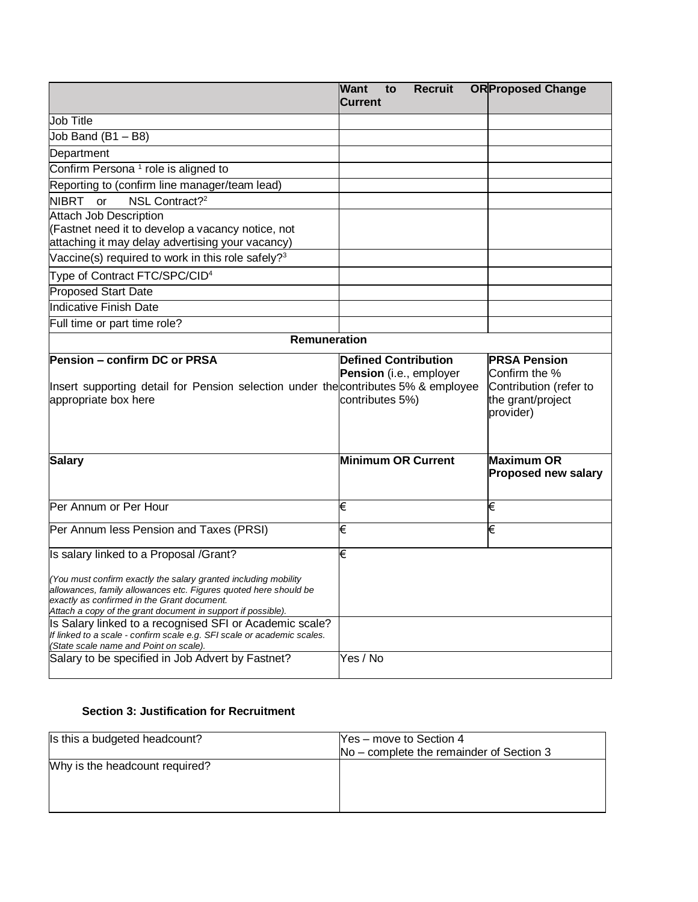|                                                                                                                                                                                                                                                    | <b>Want</b><br><b>Recruit</b><br>to<br><b>Current</b>                     | <b>OR Proposed Change</b>                                                                        |
|----------------------------------------------------------------------------------------------------------------------------------------------------------------------------------------------------------------------------------------------------|---------------------------------------------------------------------------|--------------------------------------------------------------------------------------------------|
| <b>Job Title</b>                                                                                                                                                                                                                                   |                                                                           |                                                                                                  |
| Job Band (B1-B8)                                                                                                                                                                                                                                   |                                                                           |                                                                                                  |
| Department                                                                                                                                                                                                                                         |                                                                           |                                                                                                  |
| Confirm Persona <sup>1</sup> role is aligned to                                                                                                                                                                                                    |                                                                           |                                                                                                  |
| Reporting to (confirm line manager/team lead)                                                                                                                                                                                                      |                                                                           |                                                                                                  |
| NSL Contract? <sup>2</sup><br><b>NIBRT</b><br>or                                                                                                                                                                                                   |                                                                           |                                                                                                  |
| <b>Attach Job Description</b><br>(Fastnet need it to develop a vacancy notice, not<br>attaching it may delay advertising your vacancy)                                                                                                             |                                                                           |                                                                                                  |
| Vaccine(s) required to work in this role safely? <sup>3</sup>                                                                                                                                                                                      |                                                                           |                                                                                                  |
| Type of Contract FTC/SPC/CID <sup>4</sup>                                                                                                                                                                                                          |                                                                           |                                                                                                  |
| <b>Proposed Start Date</b>                                                                                                                                                                                                                         |                                                                           |                                                                                                  |
| Indicative Finish Date                                                                                                                                                                                                                             |                                                                           |                                                                                                  |
| Full time or part time role?                                                                                                                                                                                                                       |                                                                           |                                                                                                  |
| <b>Remuneration</b>                                                                                                                                                                                                                                |                                                                           |                                                                                                  |
| Pension - confirm DC or PRSA<br>Insert supporting detail for Pension selection under the contributes 5% & employee<br>appropriate box here                                                                                                         | <b>Defined Contribution</b><br>Pension (i.e., employer<br>contributes 5%) | <b>PRSA Pension</b><br>Confirm the %<br>Contribution (refer to<br>the grant/project<br>provider) |
| <b>Salary</b>                                                                                                                                                                                                                                      | <b>Minimum OR Current</b>                                                 | <b>Maximum OR</b><br><b>Proposed new salary</b>                                                  |
| Per Annum or Per Hour                                                                                                                                                                                                                              | €                                                                         | €                                                                                                |
| Per Annum less Pension and Taxes (PRSI)                                                                                                                                                                                                            | €                                                                         | €                                                                                                |
| Is salary linked to a Proposal /Grant?                                                                                                                                                                                                             | €                                                                         |                                                                                                  |
| (You must confirm exactly the salary granted including mobility<br>allowances, family allowances etc. Figures quoted here should be<br>exactly as confirmed in the Grant document.<br>Attach a copy of the grant document in support if possible). |                                                                           |                                                                                                  |
| Is Salary linked to a recognised SFI or Academic scale?<br>If linked to a scale - confirm scale e.g. SFI scale or academic scales.<br>(State scale name and Point on scale).                                                                       |                                                                           |                                                                                                  |
| Salary to be specified in Job Advert by Fastnet?                                                                                                                                                                                                   | Yes / No                                                                  |                                                                                                  |

## **Section 3: Justification for Recruitment**

| Is this a budgeted headcount?  | Yes – move to Section 4<br>No – complete the remainder of Section 3 |  |
|--------------------------------|---------------------------------------------------------------------|--|
| Why is the headcount required? |                                                                     |  |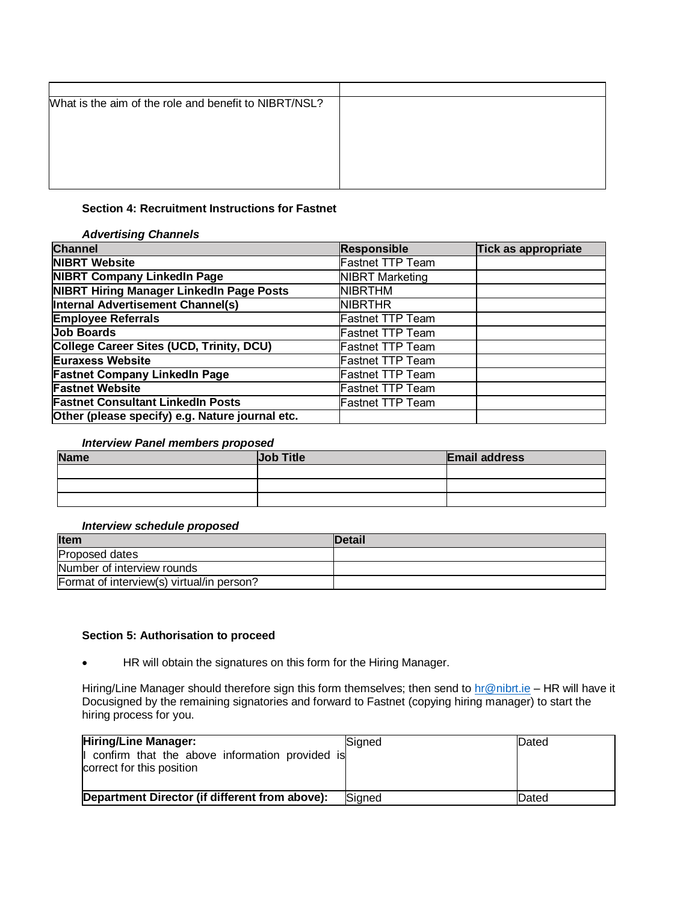| What is the aim of the role and benefit to NIBRT/NSL? |  |
|-------------------------------------------------------|--|
|                                                       |  |
|                                                       |  |
|                                                       |  |
|                                                       |  |
|                                                       |  |
|                                                       |  |

### **Section 4: Recruitment Instructions for Fastnet**

### *Advertising Channels*

| <b>Channel</b>                                  | <b>Responsible</b>      | Tick as appropriate |
|-------------------------------------------------|-------------------------|---------------------|
| <b>NIBRT Website</b>                            | <b>Fastnet TTP Team</b> |                     |
| <b>NIBRT Company LinkedIn Page</b>              | <b>NIBRT Marketing</b>  |                     |
| <b>NIBRT Hiring Manager LinkedIn Page Posts</b> | <b>NIBRTHM</b>          |                     |
| Internal Advertisement Channel(s)               | <b>NIBRTHR</b>          |                     |
| <b>Employee Referrals</b>                       | <b>Fastnet TTP Team</b> |                     |
| <b>Job Boards</b>                               | Fastnet TTP Team        |                     |
| College Career Sites (UCD, Trinity, DCU)        | Fastnet TTP Team        |                     |
| <b>Euraxess Website</b>                         | <b>Fastnet TTP Team</b> |                     |
| <b>Fastnet Company LinkedIn Page</b>            | <b>Fastnet TTP Team</b> |                     |
| <b>Fastnet Website</b>                          | <b>Fastnet TTP Team</b> |                     |
| <b>Fastnet Consultant LinkedIn Posts</b>        | <b>Fastnet TTP Team</b> |                     |
| Other (please specify) e.g. Nature journal etc. |                         |                     |

### *Interview Panel members proposed*

| <b>Name</b> | <b>Job Title</b> | <b>Email address</b> |
|-------------|------------------|----------------------|
|             |                  |                      |
|             |                  |                      |
|             |                  |                      |

#### *Interview schedule proposed*

| <b>Item</b>                               | <b>Detail</b> |
|-------------------------------------------|---------------|
| Proposed dates                            |               |
| Number of interview rounds                |               |
| Format of interview(s) virtual/in person? |               |

## **Section 5: Authorisation to proceed**

• HR will obtain the signatures on this form for the Hiring Manager.

Hiring/Line Manager should therefore sign this form themselves; then send to [hr@nibrt.ie](mailto:hr@nibrt.ie) – HR will have it Docusigned by the remaining signatories and forward to Fastnet (copying hiring manager) to start the hiring process for you.

| Hiring/Line Manager:<br>  confirm that the above information provided is<br>correct for this position | Signed | Dated |
|-------------------------------------------------------------------------------------------------------|--------|-------|
| Department Director (if different from above):                                                        | Signed | Dated |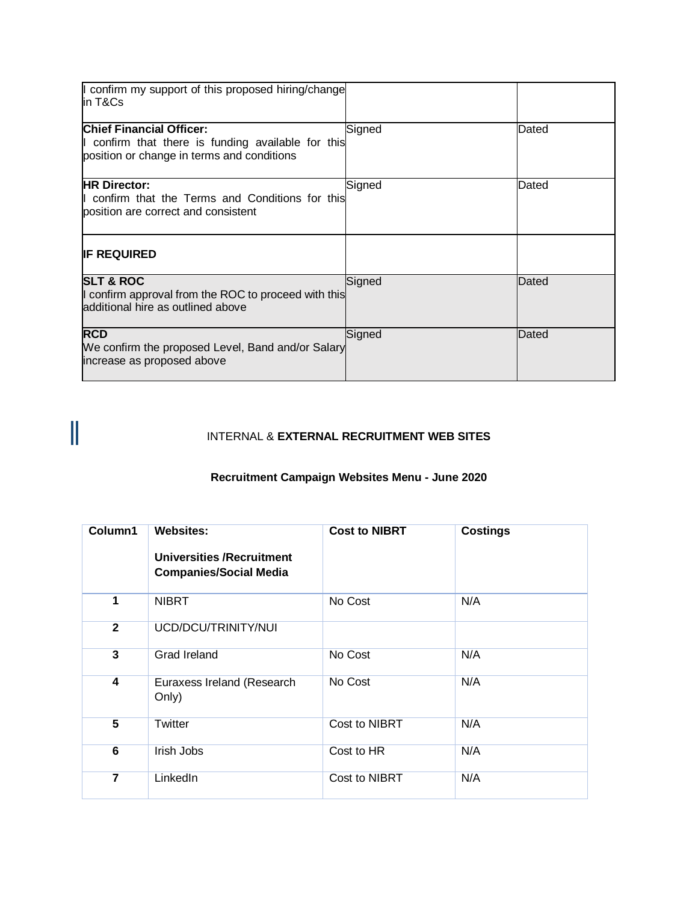| I confirm my support of this proposed hiring/change<br>lin T&Cs                                                                     |        |       |
|-------------------------------------------------------------------------------------------------------------------------------------|--------|-------|
| <b>Chief Financial Officer:</b><br>I confirm that there is funding available for this<br>position or change in terms and conditions | Signed | Dated |
| <b>HR Director:</b><br>I confirm that the Terms and Conditions for this<br>position are correct and consistent                      | Signed | Dated |
| <b>IF REQUIRED</b>                                                                                                                  |        |       |
| <b>SLT &amp; ROC</b><br>I confirm approval from the ROC to proceed with this<br>additional hire as outlined above                   | Signed | Dated |
| <b>RCD</b><br>We confirm the proposed Level, Band and/or Salary<br>increase as proposed above                                       | Signed | Dated |

## $\mathbb I$ INTERNAL & **EXTERNAL RECRUITMENT WEB SITES**

## **Recruitment Campaign Websites Menu - June 2020**

| Column1        | <b>Websites:</b><br><b>Universities / Recruitment</b><br><b>Companies/Social Media</b> | <b>Cost to NIBRT</b> | <b>Costings</b> |
|----------------|----------------------------------------------------------------------------------------|----------------------|-----------------|
| 1              | <b>NIBRT</b>                                                                           | No Cost              | N/A             |
| $\mathbf{2}$   | UCD/DCU/TRINITY/NUI                                                                    |                      |                 |
| 3              | Grad Ireland                                                                           | No Cost              | N/A             |
| 4              | Euraxess Ireland (Research<br>Only)                                                    | No Cost              | N/A             |
| $\overline{5}$ | Twitter                                                                                | Cost to NIBRT        | N/A             |
| 6              | Irish Jobs                                                                             | Cost to HR           | N/A             |
| $\overline{7}$ | LinkedIn                                                                               | Cost to NIBRT        | N/A             |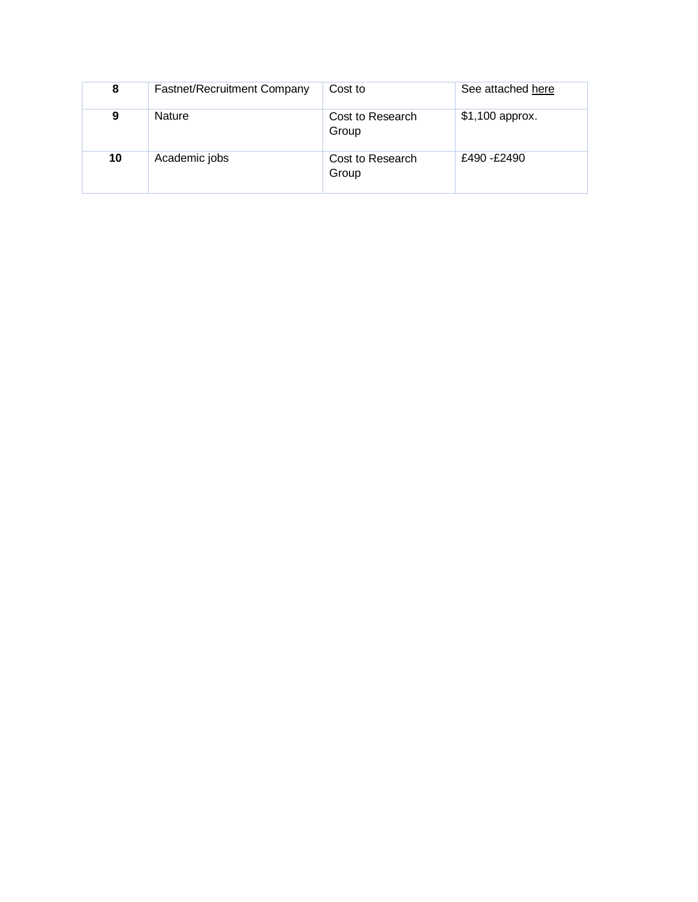| 8  | <b>Fastnet/Recruitment Company</b> | Cost to                   | See attached here |
|----|------------------------------------|---------------------------|-------------------|
| 9  | <b>Nature</b>                      | Cost to Research<br>Group | $$1,100$ approx.  |
| 10 | Academic jobs                      | Cost to Research<br>Group | £490 -£2490       |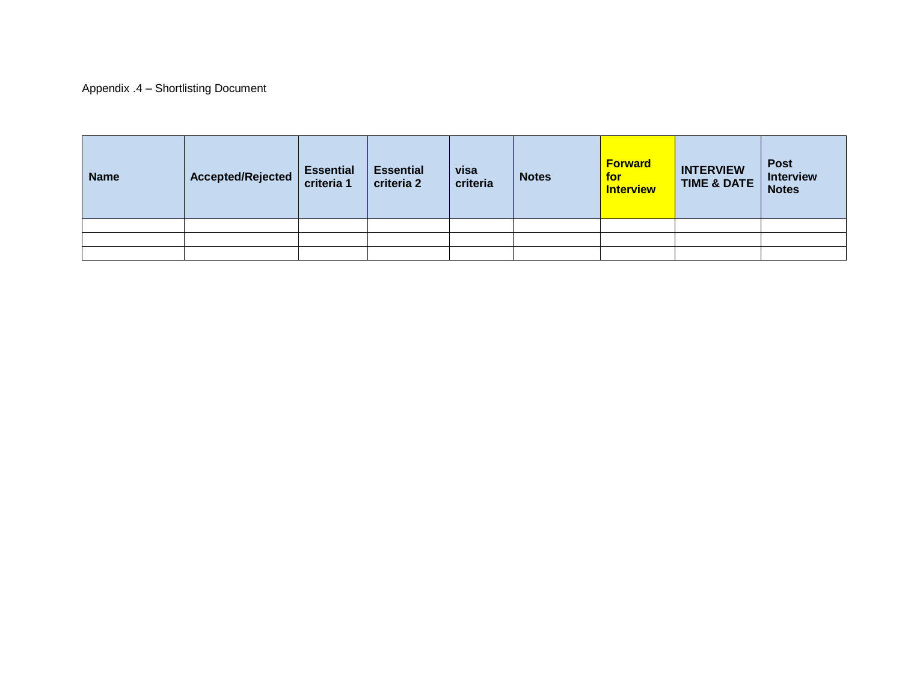## Appendix .4 – Shortlisting Document

| <b>Name</b> | <b>Accepted/Rejected</b> | <b>Essential</b><br>criteria 1 | <b>Essential</b><br>criteria 2 | visa<br>criteria | <b>Notes</b> | <b>Forward</b><br>for<br><b>Interview</b> | <b>INTERVIEW</b><br><b>TIME &amp; DATE</b> | <b>Post</b><br><b>Interview</b><br><b>Notes</b> |
|-------------|--------------------------|--------------------------------|--------------------------------|------------------|--------------|-------------------------------------------|--------------------------------------------|-------------------------------------------------|
|             |                          |                                |                                |                  |              |                                           |                                            |                                                 |
|             |                          |                                |                                |                  |              |                                           |                                            |                                                 |
|             |                          |                                |                                |                  |              |                                           |                                            |                                                 |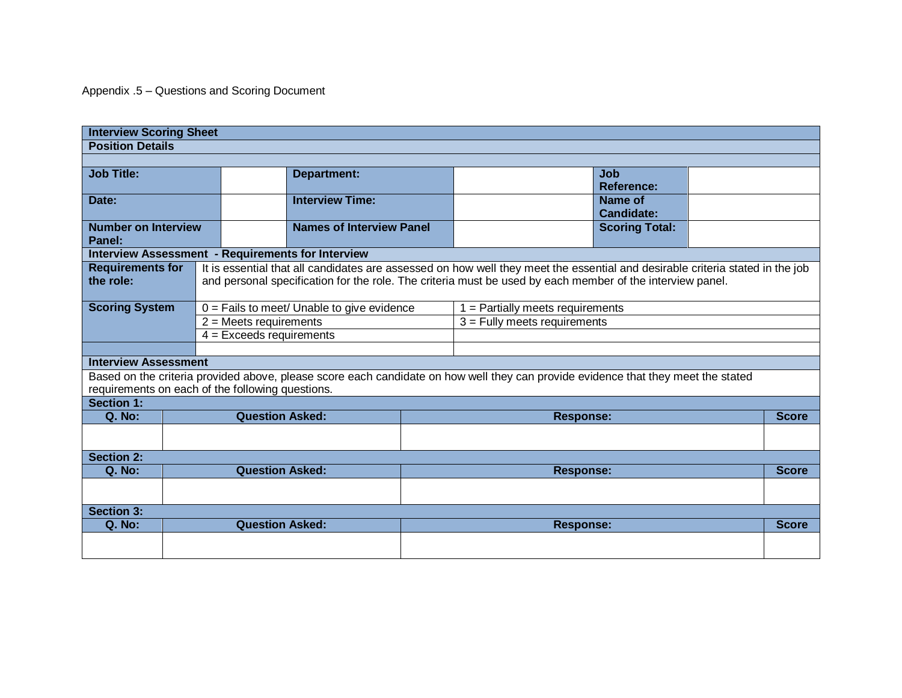Appendix .5 – Questions and Scoring Document

| <b>Interview Scoring Sheet</b>                                                                                                    |                          |                                              |                                |                                                          |                                    |                                                                                                                               |                       |  |              |
|-----------------------------------------------------------------------------------------------------------------------------------|--------------------------|----------------------------------------------|--------------------------------|----------------------------------------------------------|------------------------------------|-------------------------------------------------------------------------------------------------------------------------------|-----------------------|--|--------------|
| <b>Position Details</b>                                                                                                           |                          |                                              |                                |                                                          |                                    |                                                                                                                               |                       |  |              |
|                                                                                                                                   |                          |                                              |                                |                                                          |                                    |                                                                                                                               |                       |  |              |
| <b>Job Title:</b>                                                                                                                 |                          |                                              |                                | <b>Department:</b>                                       |                                    |                                                                                                                               | Job                   |  |              |
|                                                                                                                                   |                          |                                              |                                |                                                          |                                    |                                                                                                                               | <b>Reference:</b>     |  |              |
| Date:                                                                                                                             |                          |                                              |                                | <b>Interview Time:</b>                                   |                                    |                                                                                                                               | Name of               |  |              |
| <b>Number on Interview</b>                                                                                                        |                          |                                              |                                | <b>Names of Interview Panel</b>                          |                                    |                                                                                                                               | <b>Candidate:</b>     |  |              |
| Panel:                                                                                                                            |                          |                                              |                                |                                                          |                                    |                                                                                                                               | <b>Scoring Total:</b> |  |              |
|                                                                                                                                   |                          |                                              |                                | <b>Interview Assessment - Requirements for Interview</b> |                                    |                                                                                                                               |                       |  |              |
| <b>Requirements for</b>                                                                                                           |                          |                                              |                                |                                                          |                                    | It is essential that all candidates are assessed on how well they meet the essential and desirable criteria stated in the job |                       |  |              |
| the role:                                                                                                                         |                          |                                              |                                |                                                          |                                    | and personal specification for the role. The criteria must be used by each member of the interview panel.                     |                       |  |              |
|                                                                                                                                   |                          |                                              |                                |                                                          |                                    |                                                                                                                               |                       |  |              |
| <b>Scoring System</b>                                                                                                             |                          | $0 =$ Fails to meet/ Unable to give evidence |                                |                                                          | $1 =$ Partially meets requirements |                                                                                                                               |                       |  |              |
|                                                                                                                                   | $2$ = Meets requirements |                                              | $3$ = Fully meets requirements |                                                          |                                    |                                                                                                                               |                       |  |              |
|                                                                                                                                   |                          | $4$ = Exceeds requirements                   |                                |                                                          |                                    |                                                                                                                               |                       |  |              |
|                                                                                                                                   |                          |                                              |                                |                                                          |                                    |                                                                                                                               |                       |  |              |
| <b>Interview Assessment</b>                                                                                                       |                          |                                              |                                |                                                          |                                    |                                                                                                                               |                       |  |              |
| Based on the criteria provided above, please score each candidate on how well they can provide evidence that they meet the stated |                          |                                              |                                |                                                          |                                    |                                                                                                                               |                       |  |              |
| requirements on each of the following questions.                                                                                  |                          |                                              |                                |                                                          |                                    |                                                                                                                               |                       |  |              |
| <b>Section 1:</b>                                                                                                                 |                          |                                              |                                |                                                          |                                    |                                                                                                                               |                       |  |              |
| <b>Q. No:</b>                                                                                                                     |                          |                                              | <b>Question Asked:</b>         |                                                          |                                    | <b>Response:</b>                                                                                                              |                       |  | <b>Score</b> |
|                                                                                                                                   |                          |                                              |                                |                                                          |                                    |                                                                                                                               |                       |  |              |
| <b>Section 2:</b>                                                                                                                 |                          |                                              |                                |                                                          |                                    |                                                                                                                               |                       |  |              |
| <b>Q. No:</b>                                                                                                                     | <b>Question Asked:</b>   |                                              | <b>Response:</b>               |                                                          |                                    |                                                                                                                               | <b>Score</b>          |  |              |
|                                                                                                                                   |                          |                                              |                                |                                                          |                                    |                                                                                                                               |                       |  |              |
|                                                                                                                                   |                          |                                              |                                |                                                          |                                    |                                                                                                                               |                       |  |              |
| <b>Section 3:</b>                                                                                                                 |                          |                                              |                                |                                                          |                                    |                                                                                                                               |                       |  |              |
| <b>Q. No:</b>                                                                                                                     |                          |                                              | <b>Question Asked:</b>         |                                                          |                                    | <b>Response:</b>                                                                                                              |                       |  | <b>Score</b> |
|                                                                                                                                   |                          |                                              |                                |                                                          |                                    |                                                                                                                               |                       |  |              |
|                                                                                                                                   |                          |                                              |                                |                                                          |                                    |                                                                                                                               |                       |  |              |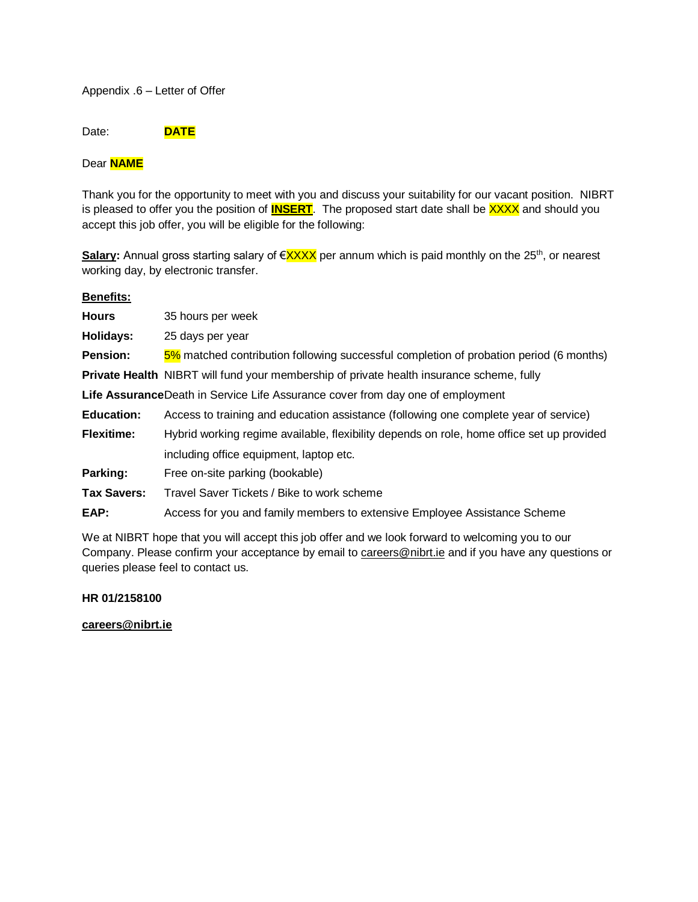### Appendix .6 – Letter of Offer

Date: **DATE** 

### Dear **NAME**

Thank you for the opportunity to meet with you and discuss your suitability for our vacant position. NIBRT is pleased to offer you the position of **INSERT**. The proposed start date shall be XXXX and should you accept this job offer, you will be eligible for the following:

Salary: Annual gross starting salary of €XXXX per annum which is paid monthly on the 25<sup>th</sup>, or nearest working day, by electronic transfer.

### **Benefits:**

| <b>Hours</b>       | 35 hours per week                                                                                 |
|--------------------|---------------------------------------------------------------------------------------------------|
| <b>Holidays:</b>   | 25 days per year                                                                                  |
| <b>Pension:</b>    | 5% matched contribution following successful completion of probation period (6 months)            |
|                    | Private Health NIBRT will fund your membership of private health insurance scheme, fully          |
|                    | Life AssuranceDeath in Service Life Assurance cover from day one of employment                    |
| <b>Education:</b>  | Access to training and education assistance (following one complete year of service)              |
| <b>Flexitime:</b>  | Hybrid working regime available, flexibility depends on role, home office set up provided         |
|                    | including office equipment, laptop etc.                                                           |
| Parking:           | Free on-site parking (bookable)                                                                   |
| <b>Tax Savers:</b> | Travel Saver Tickets / Bike to work scheme                                                        |
| EAP:               | Access for you and family members to extensive Employee Assistance Scheme                         |
|                    | The st NIRRT hang that you will accent this job offer and we look forward to welcoming you to our |

We at NIBRT hope that you will accept this job offer and we look forward to welcoming you to our Company. Please confirm your acceptance by email t[o careers@nibrt.ie](mailto:careers@nibrt.ie) and if you have any questions or queries please feel to contact us.

**HR 01/2158100**

**[careers@nibrt.ie](mailto:careers@nibrt.ie)**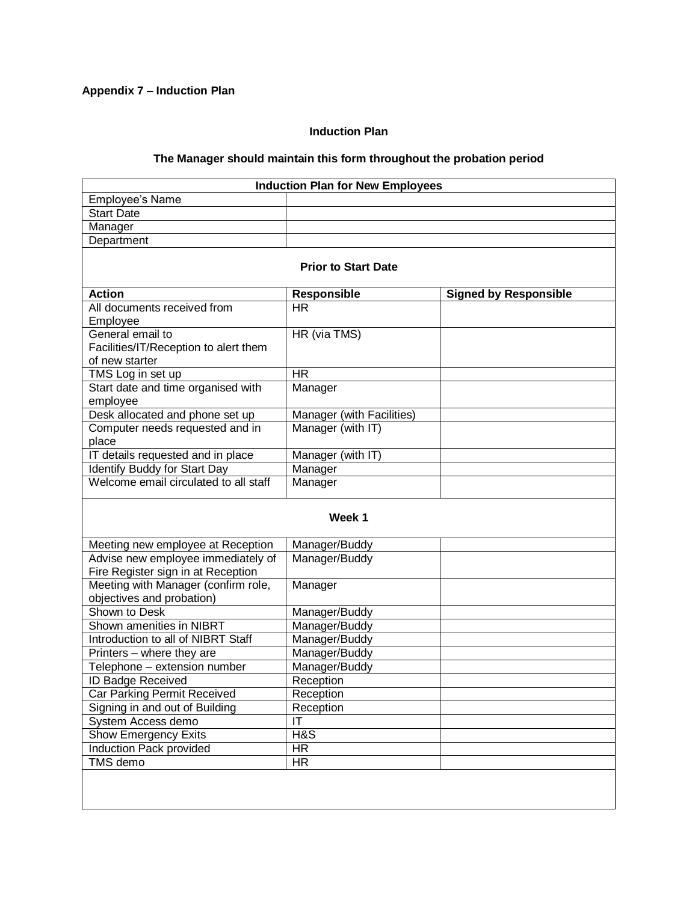## **Appendix 7 – Induction Plan**

### **Induction Plan**

## **The Manager should maintain this form throughout the probation period**

| <b>Induction Plan for New Employees</b> |                            |                              |  |  |
|-----------------------------------------|----------------------------|------------------------------|--|--|
| Employee's Name                         |                            |                              |  |  |
| <b>Start Date</b>                       |                            |                              |  |  |
| Manager                                 |                            |                              |  |  |
| Department                              |                            |                              |  |  |
|                                         | <b>Prior to Start Date</b> |                              |  |  |
| <b>Action</b>                           | <b>Responsible</b>         | <b>Signed by Responsible</b> |  |  |
| All documents received from             | <b>HR</b>                  |                              |  |  |
| Employee                                |                            |                              |  |  |
| General email to                        | HR (via TMS)               |                              |  |  |
| Facilities/IT/Reception to alert them   |                            |                              |  |  |
| of new starter                          |                            |                              |  |  |
| TMS Log in set up                       | $\overline{\text{HR}}$     |                              |  |  |
| Start date and time organised with      | Manager                    |                              |  |  |
| employee                                |                            |                              |  |  |
| Desk allocated and phone set up         | Manager (with Facilities)  |                              |  |  |
| Computer needs requested and in         | Manager (with IT)          |                              |  |  |
| place                                   |                            |                              |  |  |
| IT details requested and in place       | Manager (with IT)          |                              |  |  |
| Identify Buddy for Start Day            | Manager                    |                              |  |  |
| Welcome email circulated to all staff   | Manager                    |                              |  |  |
|                                         | Week 1                     |                              |  |  |
| Meeting new employee at Reception       | Manager/Buddy              |                              |  |  |
| Advise new employee immediately of      | Manager/Buddy              |                              |  |  |
| Fire Register sign in at Reception      |                            |                              |  |  |
| Meeting with Manager (confirm role,     | Manager                    |                              |  |  |
| objectives and probation)               |                            |                              |  |  |
| Shown to Desk                           | Manager/Buddy              |                              |  |  |
| Shown amenities in NIBRT                | Manager/Buddy              |                              |  |  |
| Introduction to all of NIBRT Staff      | Manager/Buddy              |                              |  |  |
| Printers - where they are               | Manager/Buddy              |                              |  |  |
| Telephone - extension number            | Manager/Buddy              |                              |  |  |
| <b>ID Badge Received</b>                | Reception                  |                              |  |  |
| Car Parking Permit Received             | Reception                  |                              |  |  |
| Signing in and out of Building          | Reception                  |                              |  |  |
| System Access demo                      | IT                         |                              |  |  |
| <b>Show Emergency Exits</b>             | <b>H&amp;S</b>             |                              |  |  |
| Induction Pack provided                 | <b>HR</b>                  |                              |  |  |
| TMS demo                                | <b>HR</b>                  |                              |  |  |
|                                         |                            |                              |  |  |